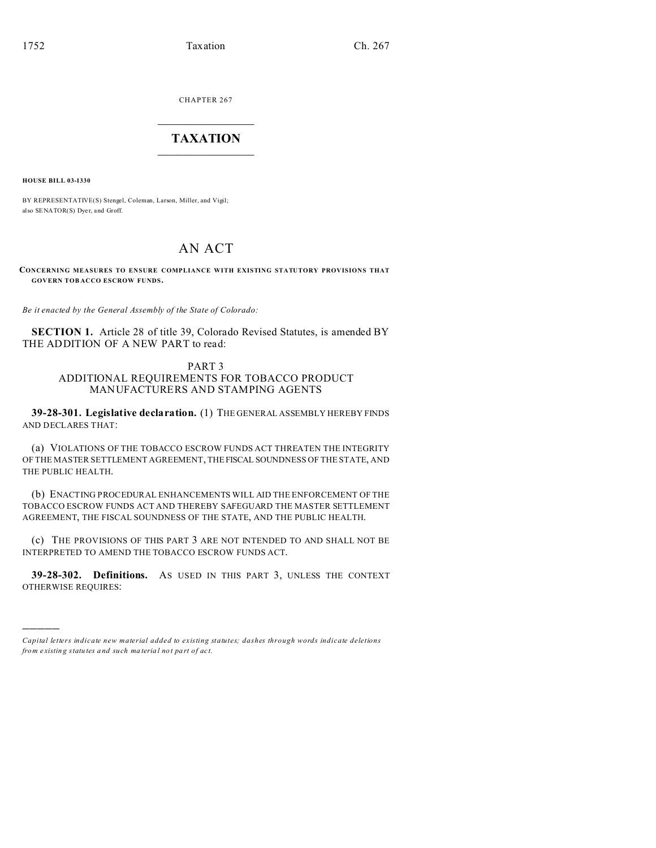CHAPTER 267  $\overline{\phantom{a}}$  , where  $\overline{\phantom{a}}$ 

## **TAXATION**  $\_$

**HOUSE BILL 03-1330**

)))))

BY REPRESENTATIVE(S) Stengel, Coleman, Larson, Miller, and Vigil; also SENATOR(S) Dver, and Groff.

# AN ACT

**CONCERNING MEASURES TO ENSURE COMPLIANCE WITH EXISTING STATUTORY PROVISIONS THAT GOVERN TOB ACCO ESCROW FUNDS.**

*Be it enacted by the General Assembly of the State of Colorado:*

**SECTION 1.** Article 28 of title 39, Colorado Revised Statutes, is amended BY THE ADDITION OF A NEW PART to read:

PART 3 ADDITIONAL REQUIREMENTS FOR TOBACCO PRODUCT MANUFACTURERS AND STAMPING AGENTS

**39-28-301. Legislative declaration.** (1) THE GENERAL ASSEMBLY HEREBY FINDS AND DECLARES THAT:

(a) VIOLATIONS OF THE TOBACCO ESCROW FUNDS ACT THREATEN THE INTEGRITY OF THE MASTER SETTLEMENT AGREEMENT, THEFISCAL SOUNDNESS OF THE STATE, AND THE PUBLIC HEALTH.

(b) ENACTING PROCEDURAL ENHANCEMENTS WILL AID THE ENFORCEMENT OF THE TOBACCO ESCROW FUNDS ACT AND THEREBY SAFEGUARD THE MASTER SETTLEMENT AGREEMENT, THE FISCAL SOUNDNESS OF THE STATE, AND THE PUBLIC HEALTH.

(c) THE PROVISIONS OF THIS PART 3 ARE NOT INTENDED TO AND SHALL NOT BE INTERPRETED TO AMEND THE TOBACCO ESCROW FUNDS ACT.

**39-28-302. Definitions.** AS USED IN THIS PART 3, UNLESS THE CONTEXT OTHERWISE REQUIRES:

*Capital letters indicate new material added to existing statutes; dashes through words indicate deletions from e xistin g statu tes a nd such ma teria l no t pa rt of ac t.*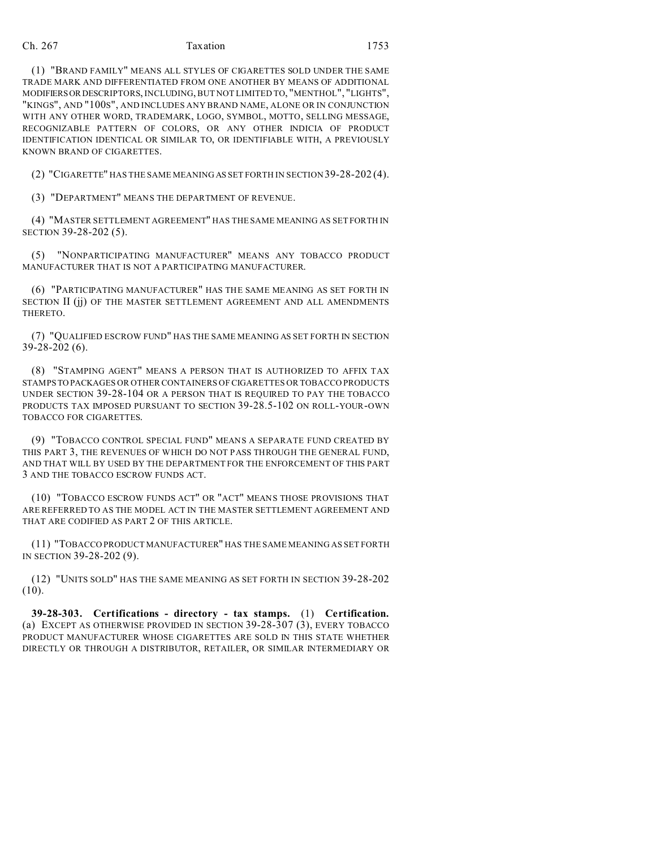## Ch. 267 Taxation 1753

(1) "BRAND FAMILY" MEANS ALL STYLES OF CIGARETTES SOLD UNDER THE SAME TRADE MARK AND DIFFERENTIATED FROM ONE ANOTHER BY MEANS OF ADDITIONAL MODIFIERSOR DESCRIPTORS, INCLUDING, BUT NOT LIMITED TO, "MENTHOL", "LIGHTS", "KINGS", AND "100S", AND INCLUDES ANY BRAND NAME, ALONE OR IN CONJUNCTION WITH ANY OTHER WORD, TRADEMARK, LOGO, SYMBOL, MOTTO, SELLING MESSAGE, RECOGNIZABLE PATTERN OF COLORS, OR ANY OTHER INDICIA OF PRODUCT IDENTIFICATION IDENTICAL OR SIMILAR TO, OR IDENTIFIABLE WITH, A PREVIOUSLY KNOWN BRAND OF CIGARETTES.

(2) "CIGARETTE" HAS THE SAME MEANING AS SET FORTH IN SECTION39-28-202 (4).

(3) "DEPARTMENT" MEANS THE DEPARTMENT OF REVENUE.

(4) "MASTER SETTLEMENT AGREEMENT" HAS THE SAME MEANING AS SET FORTH IN SECTION 39-28-202 (5).

(5) "NONPARTICIPATING MANUFACTURER" MEANS ANY TOBACCO PRODUCT MANUFACTURER THAT IS NOT A PARTICIPATING MANUFACTURER.

(6) "PARTICIPATING MANUFACTURER" HAS THE SAME MEANING AS SET FORTH IN SECTION II (jj) OF THE MASTER SETTLEMENT AGREEMENT AND ALL AMENDMENTS THERETO.

(7) "QUALIFIED ESCROW FUND" HAS THE SAME MEANING AS SET FORTH IN SECTION 39-28-202 (6).

(8) "STAMPING AGENT" MEANS A PERSON THAT IS AUTHORIZED TO AFFIX TAX STAMPSTO PACKAGES OR OTHER CONTAINERS OF CIGARETTES OR TOBACCO PRODUCTS UNDER SECTION 39-28-104 OR A PERSON THAT IS REQUIRED TO PAY THE TOBACCO PRODUCTS TAX IMPOSED PURSUANT TO SECTION 39-28.5-102 ON ROLL-YOUR-OWN TOBACCO FOR CIGARETTES.

(9) "TOBACCO CONTROL SPECIAL FUND" MEANS A SEPARATE FUND CREATED BY THIS PART 3, THE REVENUES OF WHICH DO NOT PASS THROUGH THE GENERAL FUND, AND THAT WILL BY USED BY THE DEPARTMENT FOR THE ENFORCEMENT OF THIS PART 3 AND THE TOBACCO ESCROW FUNDS ACT.

(10) "TOBACCO ESCROW FUNDS ACT" OR "ACT" MEANS THOSE PROVISIONS THAT ARE REFERRED TO AS THE MODEL ACT IN THE MASTER SETTLEMENT AGREEMENT AND THAT ARE CODIFIED AS PART 2 OF THIS ARTICLE.

(11) "TOBACCO PRODUCT MANUFACTURER" HAS THE SAME MEANING AS SET FORTH IN SECTION 39-28-202 (9).

(12) "UNITS SOLD" HAS THE SAME MEANING AS SET FORTH IN SECTION 39-28-202 (10).

**39-28-303. Certifications - directory - tax stamps.** (1) **Certification.** (a) EXCEPT AS OTHERWISE PROVIDED IN SECTION 39-28-307 (3), EVERY TOBACCO PRODUCT MANUFACTURER WHOSE CIGARETTES ARE SOLD IN THIS STATE WHETHER DIRECTLY OR THROUGH A DISTRIBUTOR, RETAILER, OR SIMILAR INTERMEDIARY OR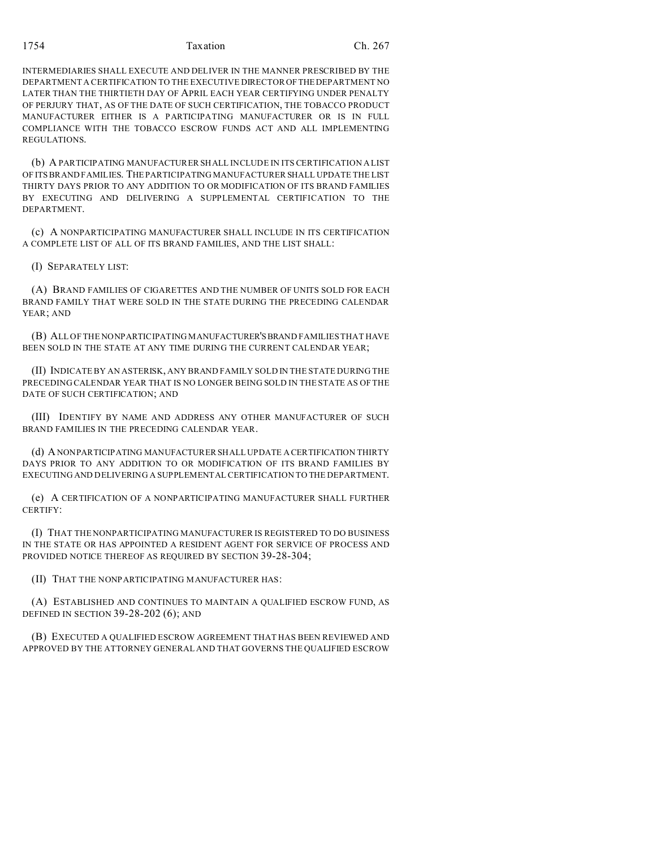1754 Taxation Ch. 267

INTERMEDIARIES SHALL EXECUTE AND DELIVER IN THE MANNER PRESCRIBED BY THE DEPARTMENT A CERTIFICATION TO THE EXECUTIVE DIRECTOR OFTHEDEPARTMENT NO LATER THAN THE THIRTIETH DAY OF APRIL EACH YEAR CERTIFYING UNDER PENALTY OF PERJURY THAT, AS OF THE DATE OF SUCH CERTIFICATION, THE TOBACCO PRODUCT MANUFACTURER EITHER IS A PARTICIPATING MANUFACTURER OR IS IN FULL COMPLIANCE WITH THE TOBACCO ESCROW FUNDS ACT AND ALL IMPLEMENTING REGULATIONS.

(b) A PARTICIPATING MANUFACTURER SHALL INCLUDE IN ITS CERTIFICATION A LIST OF ITS BRAND FAMILIES. THE PARTICIPATING MANUFACTURER SHALL UPDATE THE LIST THIRTY DAYS PRIOR TO ANY ADDITION TO OR MODIFICATION OF ITS BRAND FAMILIES BY EXECUTING AND DELIVERING A SUPPLEMENTAL CERTIFICATION TO THE DEPARTMENT.

(c) A NONPARTICIPATING MANUFACTURER SHALL INCLUDE IN ITS CERTIFICATION A COMPLETE LIST OF ALL OF ITS BRAND FAMILIES, AND THE LIST SHALL:

(I) SEPARATELY LIST:

(A) BRAND FAMILIES OF CIGARETTES AND THE NUMBER OF UNITS SOLD FOR EACH BRAND FAMILY THAT WERE SOLD IN THE STATE DURING THE PRECEDING CALENDAR YEAR; AND

(B) ALL OF THE NONPARTICIPATING MANUFACTURER'SBRAND FAMILIES THAT HAVE BEEN SOLD IN THE STATE AT ANY TIME DURING THE CURRENT CALENDAR YEAR;

(II) INDICATE BY AN ASTERISK, ANY BRAND FAMILY SOLD IN THE STATE DURING THE PRECEDING CALENDAR YEAR THAT IS NO LONGER BEING SOLD IN THE STATE AS OF THE DATE OF SUCH CERTIFICATION; AND

(III) IDENTIFY BY NAME AND ADDRESS ANY OTHER MANUFACTURER OF SUCH BRAND FAMILIES IN THE PRECEDING CALENDAR YEAR.

(d) A NONPARTICIPATING MANUFACTURER SHALL UPDATE A CERTIFICATION THIRTY DAYS PRIOR TO ANY ADDITION TO OR MODIFICATION OF ITS BRAND FAMILIES BY EXECUTING AND DELIVERING A SUPPLEMENTAL CERTIFICATION TO THE DEPARTMENT.

(e) A CERTIFICATION OF A NONPARTICIPATING MANUFACTURER SHALL FURTHER CERTIFY:

(I) THAT THE NONPARTICIPATING MANUFACTURER IS REGISTERED TO DO BUSINESS IN THE STATE OR HAS APPOINTED A RESIDENT AGENT FOR SERVICE OF PROCESS AND PROVIDED NOTICE THEREOF AS REQUIRED BY SECTION 39-28-304;

(II) THAT THE NONPARTICIPATING MANUFACTURER HAS:

(A) ESTABLISHED AND CONTINUES TO MAINTAIN A QUALIFIED ESCROW FUND, AS DEFINED IN SECTION 39-28-202 (6); AND

(B) EXECUTED A QUALIFIED ESCROW AGREEMENT THAT HAS BEEN REVIEWED AND APPROVED BY THE ATTORNEY GENERAL AND THAT GOVERNS THE QUALIFIED ESCROW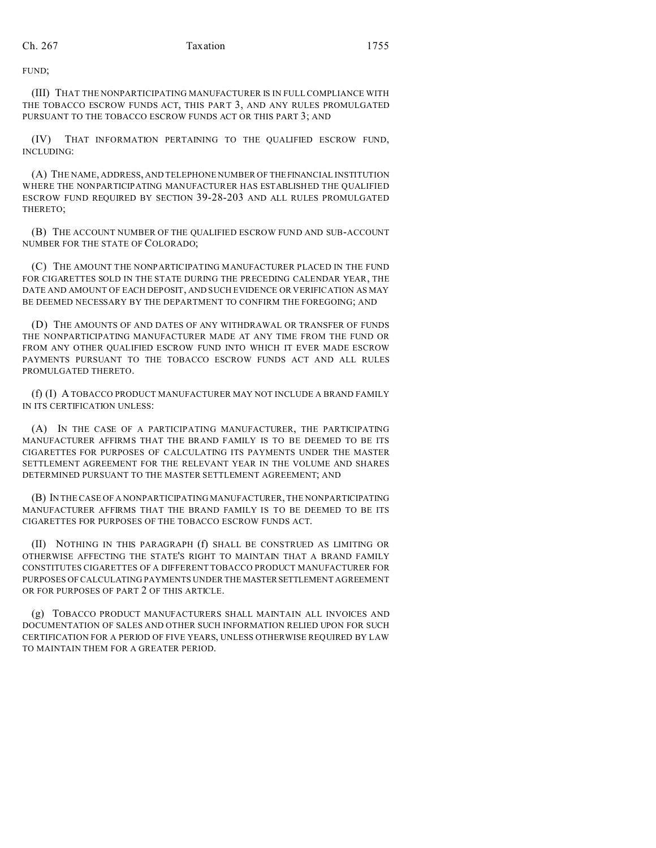FUND;

(III) THAT THE NONPARTICIPATING MANUFACTURER IS IN FULL COMPLIANCE WITH THE TOBACCO ESCROW FUNDS ACT, THIS PART 3, AND ANY RULES PROMULGATED PURSUANT TO THE TOBACCO ESCROW FUNDS ACT OR THIS PART 3; AND

(IV) THAT INFORMATION PERTAINING TO THE QUALIFIED ESCROW FUND, INCLUDING:

(A) THE NAME, ADDRESS, AND TELEPHONE NUMBER OF THEFINANCIAL INSTITUTION WHERE THE NONPARTICIPATING MANUFACTURER HAS ESTABLISHED THE QUALIFIED ESCROW FUND REQUIRED BY SECTION 39-28-203 AND ALL RULES PROMULGATED THERETO;

(B) THE ACCOUNT NUMBER OF THE QUALIFIED ESCROW FUND AND SUB-ACCOUNT NUMBER FOR THE STATE OF COLORADO;

(C) THE AMOUNT THE NONPARTICIPATING MANUFACTURER PLACED IN THE FUND FOR CIGARETTES SOLD IN THE STATE DURING THE PRECEDING CALENDAR YEAR, THE DATE AND AMOUNT OF EACH DEPOSIT, AND SUCH EVIDENCE OR VERIFICATION AS MAY BE DEEMED NECESSARY BY THE DEPARTMENT TO CONFIRM THE FOREGOING; AND

(D) THE AMOUNTS OF AND DATES OF ANY WITHDRAWAL OR TRANSFER OF FUNDS THE NONPARTICIPATING MANUFACTURER MADE AT ANY TIME FROM THE FUND OR FROM ANY OTHER QUALIFIED ESCROW FUND INTO WHICH IT EVER MADE ESCROW PAYMENTS PURSUANT TO THE TOBACCO ESCROW FUNDS ACT AND ALL RULES PROMULGATED THERETO.

(f) (I) A TOBACCO PRODUCT MANUFACTURER MAY NOT INCLUDE A BRAND FAMILY IN ITS CERTIFICATION UNLESS:

(A) IN THE CASE OF A PARTICIPATING MANUFACTURER, THE PARTICIPATING MANUFACTURER AFFIRMS THAT THE BRAND FAMILY IS TO BE DEEMED TO BE ITS CIGARETTES FOR PURPOSES OF CALCULATING ITS PAYMENTS UNDER THE MASTER SETTLEMENT AGREEMENT FOR THE RELEVANT YEAR IN THE VOLUME AND SHARES DETERMINED PURSUANT TO THE MASTER SETTLEMENT AGREEMENT; AND

(B) IN THE CASE OF A NONPARTICIPATING MANUFACTURER, THE NONPARTICIPATING MANUFACTURER AFFIRMS THAT THE BRAND FAMILY IS TO BE DEEMED TO BE ITS CIGARETTES FOR PURPOSES OF THE TOBACCO ESCROW FUNDS ACT.

(II) NOTHING IN THIS PARAGRAPH (f) SHALL BE CONSTRUED AS LIMITING OR OTHERWISE AFFECTING THE STATE'S RIGHT TO MAINTAIN THAT A BRAND FAMILY CONSTITUTES CIGARETTES OF A DIFFERENT TOBACCO PRODUCT MANUFACTURER FOR PURPOSES OF CALCULATING PAYMENTS UNDER THE MASTERSETTLEMENT AGREEMENT OR FOR PURPOSES OF PART 2 OF THIS ARTICLE.

(g) TOBACCO PRODUCT MANUFACTURERS SHALL MAINTAIN ALL INVOICES AND DOCUMENTATION OF SALES AND OTHER SUCH INFORMATION RELIED UPON FOR SUCH CERTIFICATION FOR A PERIOD OF FIVE YEARS, UNLESS OTHERWISE REQUIRED BY LAW TO MAINTAIN THEM FOR A GREATER PERIOD.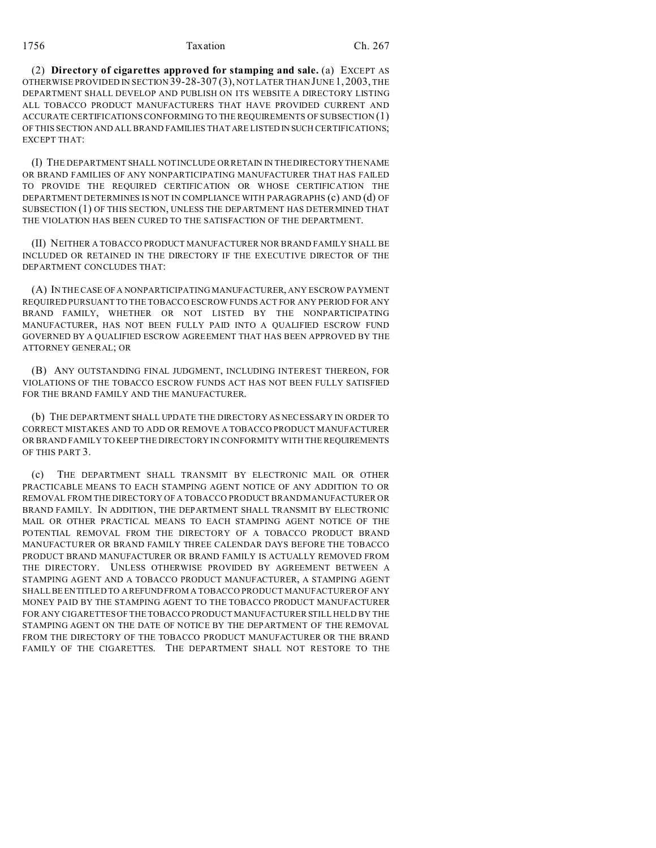### 1756 Taxation Ch. 267

(2) **Directory of cigarettes approved for stamping and sale.** (a) EXCEPT AS OTHERWISE PROVIDED IN SECTION 39-28-307 (3), NOT LATER THAN JUNE 1, 2003, THE DEPARTMENT SHALL DEVELOP AND PUBLISH ON ITS WEBSITE A DIRECTORY LISTING ALL TOBACCO PRODUCT MANUFACTURERS THAT HAVE PROVIDED CURRENT AND ACCURATE CERTIFICATIONS CONFORMING TO THE REQUIREMENTS OF SUBSECTION (1) OF THIS SECTION AND ALL BRAND FAMILIES THAT ARE LISTED IN SUCH CERTIFICATIONS; EXCEPT THAT:

(I) THE DEPARTMENT SHALL NOT INCLUDE OR RETAIN IN THE DIRECTORY THE NAME OR BRAND FAMILIES OF ANY NONPARTICIPATING MANUFACTURER THAT HAS FAILED TO PROVIDE THE REQUIRED CERTIFICATION OR WHOSE CERTIFICATION THE DEPARTMENT DETERMINES IS NOT IN COMPLIANCE WITH PARAGRAPHS (c) AND (d) OF SUBSECTION (1) OF THIS SECTION, UNLESS THE DEPARTMENT HAS DETERMINED THAT THE VIOLATION HAS BEEN CURED TO THE SATISFACTION OF THE DEPARTMENT.

(II) NEITHER A TOBACCO PRODUCT MANUFACTURER NOR BRAND FAMILY SHALL BE INCLUDED OR RETAINED IN THE DIRECTORY IF THE EXECUTIVE DIRECTOR OF THE DEPARTMENT CONCLUDES THAT:

(A) IN THE CASE OF A NONPARTICIPATING MANUFACTURER, ANY ESCROW PAYMENT REQUIRED PURSUANT TO THE TOBACCO ESCROW FUNDS ACT FOR ANY PERIOD FOR ANY BRAND FAMILY, WHETHER OR NOT LISTED BY THE NONPARTICIPATING MANUFACTURER, HAS NOT BEEN FULLY PAID INTO A QUALIFIED ESCROW FUND GOVERNED BY A QUALIFIED ESCROW AGREEMENT THAT HAS BEEN APPROVED BY THE ATTORNEY GENERAL; OR

(B) ANY OUTSTANDING FINAL JUDGMENT, INCLUDING INTEREST THEREON, FOR VIOLATIONS OF THE TOBACCO ESCROW FUNDS ACT HAS NOT BEEN FULLY SATISFIED FOR THE BRAND FAMILY AND THE MANUFACTURER.

(b) THE DEPARTMENT SHALL UPDATE THE DIRECTORY AS NECESSARY IN ORDER TO CORRECT MISTAKES AND TO ADD OR REMOVE A TOBACCO PRODUCT MANUFACTURER OR BRAND FAMILY TO KEEP THE DIRECTORY IN CONFORMITY WITH THE REQUIREMENTS OF THIS PART 3.

(c) THE DEPARTMENT SHALL TRANSMIT BY ELECTRONIC MAIL OR OTHER PRACTICABLE MEANS TO EACH STAMPING AGENT NOTICE OF ANY ADDITION TO OR REMOVAL FROM THE DIRECTORY OF A TOBACCO PRODUCT BRAND MANUFACTURER OR BRAND FAMILY. IN ADDITION, THE DEPARTMENT SHALL TRANSMIT BY ELECTRONIC MAIL OR OTHER PRACTICAL MEANS TO EACH STAMPING AGENT NOTICE OF THE POTENTIAL REMOVAL FROM THE DIRECTORY OF A TOBACCO PRODUCT BRAND MANUFACTURER OR BRAND FAMILY THREE CALENDAR DAYS BEFORE THE TOBACCO PRODUCT BRAND MANUFACTURER OR BRAND FAMILY IS ACTUALLY REMOVED FROM THE DIRECTORY. UNLESS OTHERWISE PROVIDED BY AGREEMENT BETWEEN A STAMPING AGENT AND A TOBACCO PRODUCT MANUFACTURER, A STAMPING AGENT SHALL BE ENTITLED TO A REFUND FROM A TOBACCO PRODUCT MANUFACTURER OF ANY MONEY PAID BY THE STAMPING AGENT TO THE TOBACCO PRODUCT MANUFACTURER FOR ANY CIGARETTES OF THE TOBACCO PRODUCT MANUFACTURER STILL HELD BY THE STAMPING AGENT ON THE DATE OF NOTICE BY THE DEPARTMENT OF THE REMOVAL FROM THE DIRECTORY OF THE TOBACCO PRODUCT MANUFACTURER OR THE BRAND FAMILY OF THE CIGARETTES. THE DEPARTMENT SHALL NOT RESTORE TO THE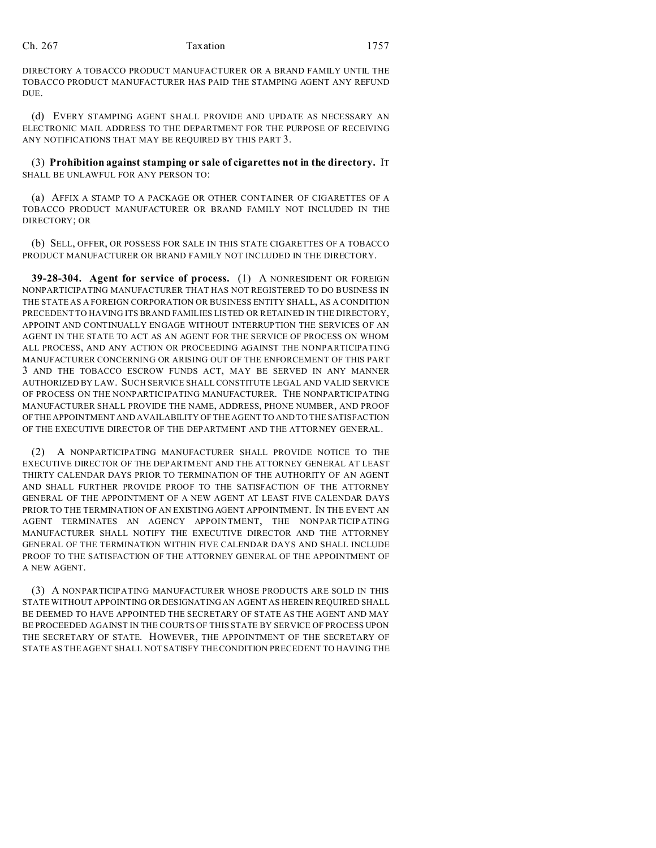## Ch. 267 Taxation 1757

DIRECTORY A TOBACCO PRODUCT MANUFACTURER OR A BRAND FAMILY UNTIL THE TOBACCO PRODUCT MANUFACTURER HAS PAID THE STAMPING AGENT ANY REFUND DUE.

(d) EVERY STAMPING AGENT SHALL PROVIDE AND UPDATE AS NECESSARY AN ELECTRONIC MAIL ADDRESS TO THE DEPARTMENT FOR THE PURPOSE OF RECEIVING ANY NOTIFICATIONS THAT MAY BE REQUIRED BY THIS PART 3.

(3) **Prohibition against stamping or sale of cigarettes not in the directory.** IT SHALL BE UNLAWFUL FOR ANY PERSON TO:

(a) AFFIX A STAMP TO A PACKAGE OR OTHER CONTAINER OF CIGARETTES OF A TOBACCO PRODUCT MANUFACTURER OR BRAND FAMILY NOT INCLUDED IN THE DIRECTORY; OR

(b) SELL, OFFER, OR POSSESS FOR SALE IN THIS STATE CIGARETTES OF A TOBACCO PRODUCT MANUFACTURER OR BRAND FAMILY NOT INCLUDED IN THE DIRECTORY.

**39-28-304. Agent for service of process.** (1) A NONRESIDENT OR FOREIGN NONPARTICIPATING MANUFACTURER THAT HAS NOT REGISTERED TO DO BUSINESS IN THE STATE AS A FOREIGN CORPORATION OR BUSINESS ENTITY SHALL, AS A CONDITION PRECEDENT TO HAVING ITS BRAND FAMILIES LISTED OR RETAINED IN THE DIRECTORY, APPOINT AND CONTINUALLY ENGAGE WITHOUT INTERRUPTION THE SERVICES OF AN AGENT IN THE STATE TO ACT AS AN AGENT FOR THE SERVICE OF PROCESS ON WHOM ALL PROCESS, AND ANY ACTION OR PROCEEDING AGAINST THE NONPARTICIPATING MANUFACTURER CONCERNING OR ARISING OUT OF THE ENFORCEMENT OF THIS PART 3 AND THE TOBACCO ESCROW FUNDS ACT, MAY BE SERVED IN ANY MANNER AUTHORIZED BY LAW. SUCH SERVICE SHALL CONSTITUTE LEGAL AND VALID SERVICE OF PROCESS ON THE NONPARTICIPATING MANUFACTURER. THE NONPARTICIPATING MANUFACTURER SHALL PROVIDE THE NAME, ADDRESS, PHONE NUMBER, AND PROOF OFTHE APPOINTMENT AND AVAILABILITY OF THE AGENT TO AND TO THE SATISFACTION OF THE EXECUTIVE DIRECTOR OF THE DEPARTMENT AND THE ATTORNEY GENERAL.

(2) A NONPARTICIPATING MANUFACTURER SHALL PROVIDE NOTICE TO THE EXECUTIVE DIRECTOR OF THE DEPARTMENT AND THE ATTORNEY GENERAL AT LEAST THIRTY CALENDAR DAYS PRIOR TO TERMINATION OF THE AUTHORITY OF AN AGENT AND SHALL FURTHER PROVIDE PROOF TO THE SATISFACTION OF THE ATTORNEY GENERAL OF THE APPOINTMENT OF A NEW AGENT AT LEAST FIVE CALENDAR DAYS PRIOR TO THE TERMINATION OF AN EXISTING AGENT APPOINTMENT. IN THE EVENT AN AGENT TERMINATES AN AGENCY APPOINTMENT, THE NONPARTICIPATING MANUFACTURER SHALL NOTIFY THE EXECUTIVE DIRECTOR AND THE ATTORNEY GENERAL OF THE TERMINATION WITHIN FIVE CALENDAR DAYS AND SHALL INCLUDE PROOF TO THE SATISFACTION OF THE ATTORNEY GENERAL OF THE APPOINTMENT OF A NEW AGENT.

(3) A NONPARTICIPATING MANUFACTURER WHOSE PRODUCTS ARE SOLD IN THIS STATE WITHOUT APPOINTING OR DESIGNATING AN AGENT AS HEREIN REQUIRED SHALL BE DEEMED TO HAVE APPOINTED THE SECRETARY OF STATE AS THE AGENT AND MAY BE PROCEEDED AGAINST IN THE COURTS OF THIS STATE BY SERVICE OF PROCESS UPON THE SECRETARY OF STATE. HOWEVER, THE APPOINTMENT OF THE SECRETARY OF STATE AS THE AGENT SHALL NOT SATISFY THE CONDITION PRECEDENT TO HAVING THE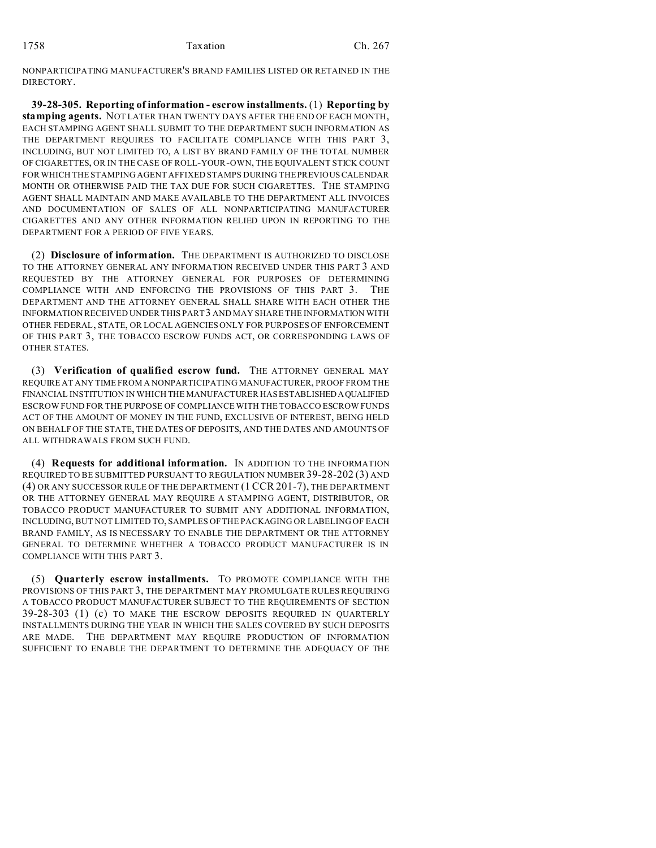NONPARTICIPATING MANUFACTURER'S BRAND FAMILIES LISTED OR RETAINED IN THE DIRECTORY.

**39-28-305. Reporting of information - escrow installments.** (1) **Reporting by stamping agents.** NOT LATER THAN TWENTY DAYS AFTER THE END OF EACH MONTH, EACH STAMPING AGENT SHALL SUBMIT TO THE DEPARTMENT SUCH INFORMATION AS THE DEPARTMENT REQUIRES TO FACILITATE COMPLIANCE WITH THIS PART 3, INCLUDING, BUT NOT LIMITED TO, A LIST BY BRAND FAMILY OF THE TOTAL NUMBER OF CIGARETTES, OR IN THE CASE OF ROLL-YOUR-OWN, THE EQUIVALENT STICK COUNT FOR WHICH THE STAMPING AGENT AFFIXED STAMPS DURING THE PREVIOUS CALENDAR MONTH OR OTHERWISE PAID THE TAX DUE FOR SUCH CIGARETTES. THE STAMPING AGENT SHALL MAINTAIN AND MAKE AVAILABLE TO THE DEPARTMENT ALL INVOICES AND DOCUMENTATION OF SALES OF ALL NONPARTICIPATING MANUFACTURER CIGARETTES AND ANY OTHER INFORMATION RELIED UPON IN REPORTING TO THE DEPARTMENT FOR A PERIOD OF FIVE YEARS.

(2) **Disclosure of information.** THE DEPARTMENT IS AUTHORIZED TO DISCLOSE TO THE ATTORNEY GENERAL ANY INFORMATION RECEIVED UNDER THIS PART 3 AND REQUESTED BY THE ATTORNEY GENERAL FOR PURPOSES OF DETERMINING COMPLIANCE WITH AND ENFORCING THE PROVISIONS OF THIS PART 3. THE DEPARTMENT AND THE ATTORNEY GENERAL SHALL SHARE WITH EACH OTHER THE INFORMATION RECEIVED UNDER THIS PART 3 AND MAY SHARE THE INFORMATION WITH OTHER FEDERAL, STATE, OR LOCAL AGENCIES ONLY FOR PURPOSES OF ENFORCEMENT OF THIS PART 3, THE TOBACCO ESCROW FUNDS ACT, OR CORRESPONDING LAWS OF OTHER STATES.

(3) **Verification of qualified escrow fund.** THE ATTORNEY GENERAL MAY REQUIRE AT ANY TIME FROM A NONPARTICIPATING MANUFACTURER, PROOF FROM THE FINANCIAL INSTITUTION IN WHICH THE MANUFACTURER HAS ESTABLISHEDAQUALIFIED ESCROW FUND FOR THE PURPOSE OF COMPLIANCE WITH THE TOBACCO ESCROW FUNDS ACT OF THE AMOUNT OF MONEY IN THE FUND, EXCLUSIVE OF INTEREST, BEING HELD ON BEHALF OF THE STATE, THE DATES OF DEPOSITS, AND THE DATES AND AMOUNTS OF ALL WITHDRAWALS FROM SUCH FUND.

(4) **Requests for additional information.** IN ADDITION TO THE INFORMATION REQUIRED TO BE SUBMITTED PURSUANT TO REGULATION NUMBER 39-28-202 (3) AND (4) OR ANY SUCCESSOR RULE OF THE DEPARTMENT (1 CCR 201-7), THE DEPARTMENT OR THE ATTORNEY GENERAL MAY REQUIRE A STAMPING AGENT, DISTRIBUTOR, OR TOBACCO PRODUCT MANUFACTURER TO SUBMIT ANY ADDITIONAL INFORMATION, INCLUDING, BUT NOT LIMITED TO, SAMPLES OF THE PACKAGING OR LABELING OF EACH BRAND FAMILY, AS IS NECESSARY TO ENABLE THE DEPARTMENT OR THE ATTORNEY GENERAL TO DETERMINE WHETHER A TOBACCO PRODUCT MANUFACTURER IS IN COMPLIANCE WITH THIS PART 3.

(5) **Quarterly escrow installments.** TO PROMOTE COMPLIANCE WITH THE PROVISIONS OF THIS PART 3, THE DEPARTMENT MAY PROMULGATE RULES REQUIRING A TOBACCO PRODUCT MANUFACTURER SUBJECT TO THE REQUIREMENTS OF SECTION 39-28-303 (1) (c) TO MAKE THE ESCROW DEPOSITS REQUIRED IN QUARTERLY INSTALLMENTS DURING THE YEAR IN WHICH THE SALES COVERED BY SUCH DEPOSITS ARE MADE. THE DEPARTMENT MAY REQUIRE PRODUCTION OF INFORMATION SUFFICIENT TO ENABLE THE DEPARTMENT TO DETERMINE THE ADEQUACY OF THE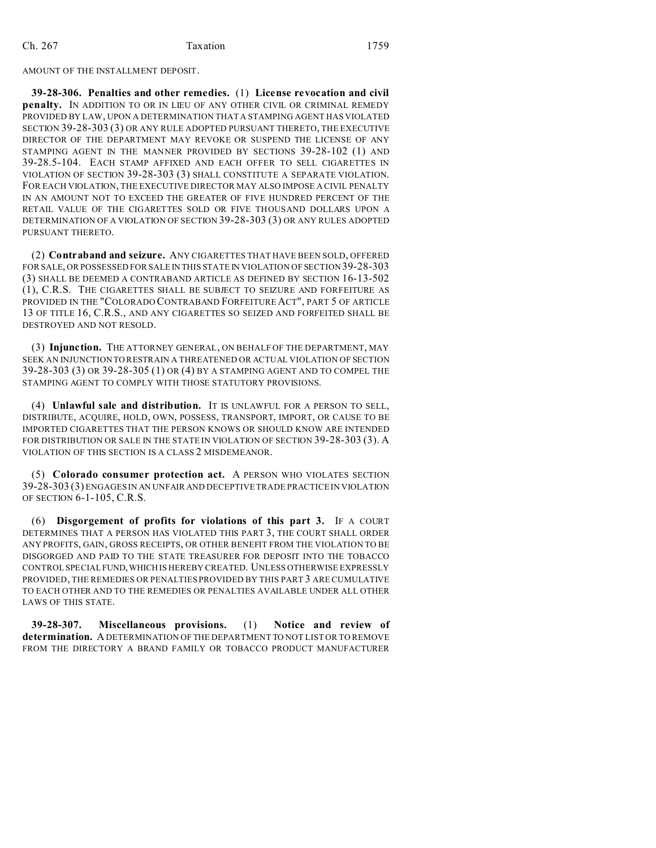## Ch. 267 Taxation 1759

#### AMOUNT OF THE INSTALLMENT DEPOSIT.

**39-28-306. Penalties and other remedies.** (1) **License revocation and civil penalty.** IN ADDITION TO OR IN LIEU OF ANY OTHER CIVIL OR CRIMINAL REMEDY PROVIDED BY LAW, UPON A DETERMINATION THAT A STAMPING AGENT HAS VIOLATED SECTION 39-28-303 (3) OR ANY RULE ADOPTED PURSUANT THERETO, THE EXECUTIVE DIRECTOR OF THE DEPARTMENT MAY REVOKE OR SUSPEND THE LICENSE OF ANY STAMPING AGENT IN THE MANNER PROVIDED BY SECTIONS 39-28-102 (1) AND 39-28.5-104. EACH STAMP AFFIXED AND EACH OFFER TO SELL CIGARETTES IN VIOLATION OF SECTION 39-28-303 (3) SHALL CONSTITUTE A SEPARATE VIOLATION. FOR EACH VIOLATION, THE EXECUTIVE DIRECTOR MAY ALSO IMPOSE A CIVIL PENALTY IN AN AMOUNT NOT TO EXCEED THE GREATER OF FIVE HUNDRED PERCENT OF THE RETAIL VALUE OF THE CIGARETTES SOLD OR FIVE THOUSAND DOLLARS UPON A DETERMINATION OF A VIOLATION OF SECTION 39-28-303 (3) OR ANY RULES ADOPTED PURSUANT THERETO.

(2) **Contraband and seizure.** ANY CIGARETTES THAT HAVE BEEN SOLD, OFFERED FOR SALE, OR POSSESSED FOR SALE IN THIS STATE IN VIOLATION OF SECTION 39-28-303 (3) SHALL BE DEEMED A CONTRABAND ARTICLE AS DEFINED BY SECTION 16-13-502 (1), C.R.S. THE CIGARETTES SHALL BE SUBJECT TO SEIZURE AND FORFEITURE AS PROVIDED IN THE "COLORADO CONTRABAND FORFEITURE ACT", PART 5 OF ARTICLE 13 OF TITLE 16, C.R.S., AND ANY CIGARETTES SO SEIZED AND FORFEITED SHALL BE DESTROYED AND NOT RESOLD.

(3) **Injunction.** THE ATTORNEY GENERAL, ON BEHALF OF THE DEPARTMENT, MAY SEEK AN INJUNCTION TO RESTRAIN A THREATENED OR ACTUAL VIOLATION OF SECTION 39-28-303 (3) OR 39-28-305 (1) OR (4) BY A STAMPING AGENT AND TO COMPEL THE STAMPING AGENT TO COMPLY WITH THOSE STATUTORY PROVISIONS.

(4) **Unlawful sale and distribution.** IT IS UNLAWFUL FOR A PERSON TO SELL, DISTRIBUTE, ACQUIRE, HOLD, OWN, POSSESS, TRANSPORT, IMPORT, OR CAUSE TO BE IMPORTED CIGARETTES THAT THE PERSON KNOWS OR SHOULD KNOW ARE INTENDED FOR DISTRIBUTION OR SALE IN THE STATE IN VIOLATION OF SECTION 39-28-303 (3). A VIOLATION OF THIS SECTION IS A CLASS 2 MISDEMEANOR.

(5) **Colorado consumer protection act.** A PERSON WHO VIOLATES SECTION 39-28-303 (3) ENGAGES IN AN UNFAIR AND DECEPTIVE TRADE PRACTICE IN VIOLATION OF SECTION 6-1-105, C.R.S.

(6) **Disgorgement of profits for violations of this part 3.** IF A COURT DETERMINES THAT A PERSON HAS VIOLATED THIS PART 3, THE COURT SHALL ORDER ANY PROFITS, GAIN, GROSS RECEIPTS, OR OTHER BENEFIT FROM THE VIOLATION TO BE DISGORGED AND PAID TO THE STATE TREASURER FOR DEPOSIT INTO THE TOBACCO CONTROL SPECIALFUND,WHICH IS HEREBY CREATED. UNLESS OTHERWISE EXPRESSLY PROVIDED, THE REMEDIES OR PENALTIES PROVIDED BY THIS PART 3 ARE CUMULATIVE TO EACH OTHER AND TO THE REMEDIES OR PENALTIES AVAILABLE UNDER ALL OTHER LAWS OF THIS STATE.

**39-28-307. Miscellaneous provisions.** (1) **Notice and review of determination.** A DETERMINATION OF THE DEPARTMENT TO NOT LIST OR TO REMOVE FROM THE DIRECTORY A BRAND FAMILY OR TOBACCO PRODUCT MANUFACTURER